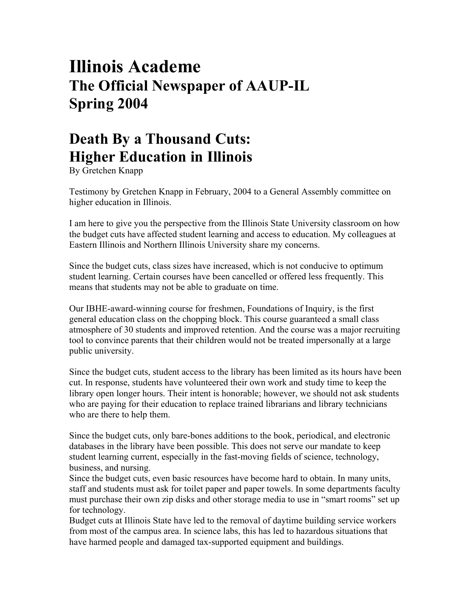## **Illinois Academe The Official Newspaper of AAUP-IL Spring 2004**

## **Death By a Thousand Cuts: Higher Education in Illinois**

By Gretchen Knapp

Testimony by Gretchen Knapp in February, 2004 to a General Assembly committee on higher education in Illinois.

I am here to give you the perspective from the Illinois State University classroom on how the budget cuts have affected student learning and access to education. My colleagues at Eastern Illinois and Northern Illinois University share my concerns.

Since the budget cuts, class sizes have increased, which is not conducive to optimum student learning. Certain courses have been cancelled or offered less frequently. This means that students may not be able to graduate on time.

Our IBHE-award-winning course for freshmen, Foundations of Inquiry, is the first general education class on the chopping block. This course guaranteed a small class atmosphere of 30 students and improved retention. And the course was a major recruiting tool to convince parents that their children would not be treated impersonally at a large public university.

Since the budget cuts, student access to the library has been limited as its hours have been cut. In response, students have volunteered their own work and study time to keep the library open longer hours. Their intent is honorable; however, we should not ask students who are paying for their education to replace trained librarians and library technicians who are there to help them.

Since the budget cuts, only bare-bones additions to the book, periodical, and electronic databases in the library have been possible. This does not serve our mandate to keep student learning current, especially in the fast-moving fields of science, technology, business, and nursing.

Since the budget cuts, even basic resources have become hard to obtain. In many units, staff and students must ask for toilet paper and paper towels. In some departments faculty must purchase their own zip disks and other storage media to use in "smart rooms" set up for technology.

Budget cuts at Illinois State have led to the removal of daytime building service workers from most of the campus area. In science labs, this has led to hazardous situations that have harmed people and damaged tax-supported equipment and buildings.